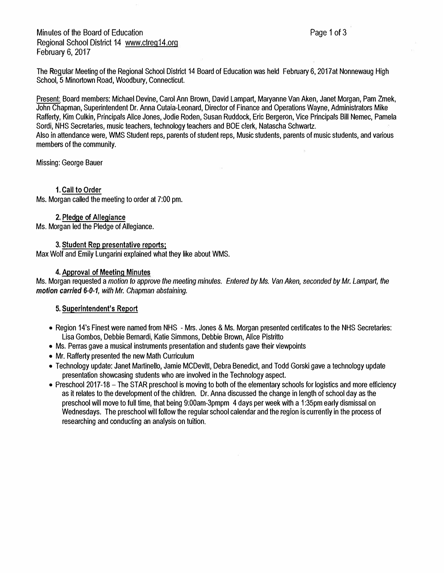Minutes of the Board of Education Regional School District 14 www.ctreg14.org February 6, 2017

The Regular Meeting of the Regional School District 14 Board of Education was held February 6, 2017at Nonnewaug High School, 5 Minortown Road, Woodbury, Connecticut.

Present: Board members: Michael Devine, Carol Ann Brown, David Lampart, Maryanne Van Aken, Janet Morgan, Pam Zmek, John Chapman, Superintendent Dr. Anna Cutaia-Leonard, Director of Finance and Operations Wayne, Administrators Mike Rafferty, Kim Culkin, Principals Alice Jones, Jodie Roden, Susan Ruddock, Eric Bergeron, Vice Principals Bill Nemec, Pamela Sordi, NHS Secretaries, music teachers, technology teachers and BOE clerk, Natascha Schwartz. Also inattendance were, WMS Student reps, parents of student reps, Music students, parents of music students, and various members of the community.

Missing: George Bauer

# 1. Call to Order

Ms. Morgan called the meeting to order at 7:00 pm.

# 2. Pledge of Allegiance

Ms. Morgan led the Pledge of Allegiance.

#### **3. Student Rep presentative reports;**

Max Wolf and Emily Lungarini explained what they like about WMS.

# 4. Approval of Meeting Minutes

Ms. Morgan requested a *motion to approve the meeting minutes. Entered by Ms. Van Aken, seconded by Mr. Lamparl, the motion carried 6-0-1, with Mr. Chapman abstaining.* 

# 5. Superintendent's Report

- Region 14's Finest were named from NHS Mrs. Jones & Ms. Morgan presented certificates to the NHS Secretaries: Lisa Gombos, Debbie Bernardi, Katie Simmons, Debbie Brown, Alice Pistritto
- Ms. Perras gave a musical instruments presentation and students gave their viewpoints
- Mr. Rafferty presented the new Math Curriculum
- Technology update: Janet Martinello, Jamie MCDevitt, Debra Benedict, and Todd Gorski gave a technology update presentation showcasing students who are involved in the Technology aspect.
- Preschool 2017-18 The STAR preschool is moving to both of the elementary schools for logistics and more efficiency as it relates to the development of the children. Dr. Anna discussed the change in lenglh of school day as the preschool will move to full time, that being 9:00am-3pmpm 4 days per week with a 1 :35pm earty dismissal on Wednesdays. The preschool will follow the regular school calendar and the region is currently in the process of researching and conducting an analysis on tuition.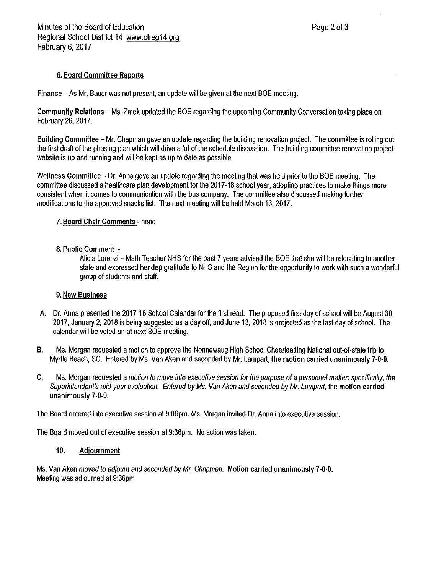# 6. Board Committee Reports

Finance – As Mr. Bauer was not present, an update will be given at the next BOE meeting.

Community Relations - Ms. Zmek updated the BOE regarding the upcoming Community Conversation taking place on February 26, 2017.

Building Committee – Mr. Chapman gave an update regarding the building renovation project. The committee is rolling out the first draft of the phasing plan which will drive a lot of the schedule discussion. The building committee renovation project website is up and running and will be kept as up to date as possible.

Wellness Committee - Dr. Anna gave an update regarding the meeting that was held prior to the BOE meeting. The committee discussed a healthcare plan development for the 2017-18 school year, adopting practices to make things more consistent when it comes to communication with the bus company. The committee also discussed making further modifications to the approved snacks list. The next meeting will be held March 13, 2017.

# 7. Board Chair Comments - none

# 8. Public Comment -

Alicia Lorenzi – Math Teacher NHS for the past 7 years advised the BOE that she will be relocating to another state and expressed her dep gratitude to NHS and the Region for the opportunity to work with such a wonderful group of students and staff.

# 9. New Business

- $A_{\cdot}$ Dr. Anna presented the 2017-18 School Calendar for the first read. The proposed first day of school will be August 30. 2017, January 2, 2018 is being suggested as a day off, and June 13, 2018 is projected as the last day of school. The calendar will be voted on at next BOE meeting.
- В. Ms. Morgan requested a motion to approve the Nonnewaug High School Cheerleading National out-of-state trip to Myrtle Beach, SC. Entered by Ms. Van Aken and seconded by Mr. Lampart, the motion carried unanimously 7-0-0.
- C. Ms. Morgan requested a motion to move into executive session for the purpose of a personnel matter; specifically, the Superintendent's mid-year evaluation. Entered by Ms. Van Aken and seconded by Mr. Lampart, the motion carried unanimously 7-0-0.

The Board entered into executive session at 9:06pm. Ms. Morgan invited Dr. Anna into executive session.

The Board moved out of executive session at 9:36pm. No action was taken.

#### 10. Adjournment

Ms. Van Aken moved to adjourn and seconded by Mr. Chapman. Motion carried unanimously 7-0-0. Meeting was adjourned at 9:36pm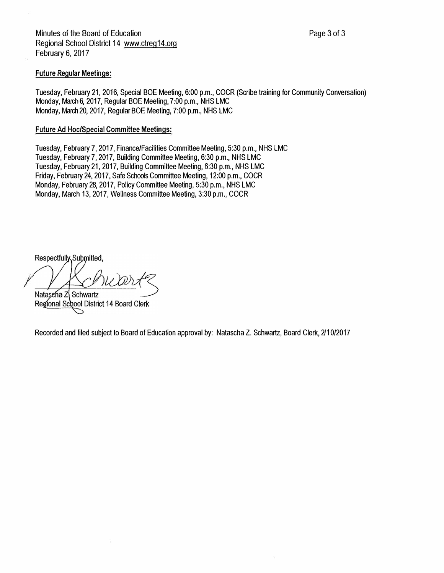Minutes of the Board of Education Regional School District 14 www.ctreg14.org February 6, 2017

#### Future Regular Meetings:

Tuesday, February 21, 2016, Special BOE Meeting, 6:00 p.m., COCR (Scribe training for Community Conversation) Monday, March 6, 2017, Regular BOE Meeting, 7:00 p.m., NHS LMC Monday, March 20, 2017, Regular BOE Meeting, 7:00 p.m., NHS LMC

#### Future Ad Hoc/Special Committee Meetings:

Tuesday, February 7, 2017, Finance/Facilities Committee Meeting, 5:30 p.m., NHS LMC Tuesday, February 7, 2017, Building Committee Meeting, 6:30 p.m., NHS LMC Tuesday, February 21, 2017, Building Committee Meeting, 6:30 p.m., NHS LMC Friday, February 24, 2017, Safe Schools Committee Meeting, 12:00 p.m., COCR Monday, February 28, 2017, Policy Committee Meeting, 5:30 p.m., NHS LMC Monday, March 13, 2017, Wellness Committee Meeting, 3:30 p.m., COCR

Respectfully, Submitted,

Natasena Z Schwartz Regional School District 14 Board Clerk

Recordedand filed subject to Board of Education approval by: Natascha Z. Schwartz, Board Clerk, 2/10/2017